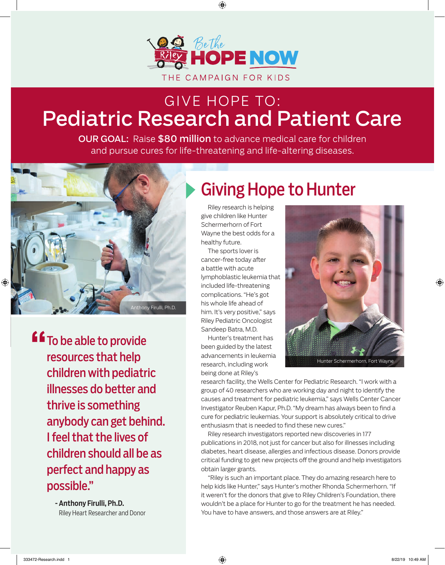

## Pediatric Research and Patient Care GIVE HOPE TO:

OUR GOAL: Raise \$80 million to advance medical care for children and pursue cures for life-threatening and life-altering diseases.



To be able to provide resources that help children with pediatric illnesses do better and thrive is something anybody can get behind. I feel that the lives of children should all be as perfect and happy as possible." "<br>"<br>"

> - Anthony Firulli, Ph.D. Riley Heart Researcher and Donor

# Giving Hope to Hunter

 Riley research is helping give children like Hunter Schermerhorn of Fort Wayne the best odds for a healthy future.

 The sports lover is cancer-free today after a battle with acute lymphoblastic leukemia that included life-threatening complications. "He's got his whole life ahead of him. It's very positive," says Riley Pediatric Oncologist Sandeep Batra, M.D.

 Hunter's treatment has been guided by the latest advancements in leukemia research, including work being done at Riley's



Hunter Schermerhorn, Fort Wayne

research facility, the Wells Center for Pediatric Research. "I work with a group of 40 researchers who are working day and night to identify the causes and treatment for pediatric leukemia," says Wells Center Cancer Investigator Reuben Kapur, Ph.D. "My dream has always been to find a cure for pediatric leukemias. Your support is absolutely critical to drive enthusiasm that is needed to find these new cures."

 Riley research investigators reported new discoveries in 177 publications in 2018, not just for cancer but also for illnesses including diabetes, heart disease, allergies and infectious disease. Donors provide critical funding to get new projects off the ground and help investigators obtain larger grants.

 "Riley is such an important place. They do amazing research here to help kids like Hunter," says Hunter's mother Rhonda Schermerhorn. "If it weren't for the donors that give to Riley Children's Foundation, there wouldn't be a place for Hunter to go for the treatment he has needed. You have to have answers, and those answers are at Riley."